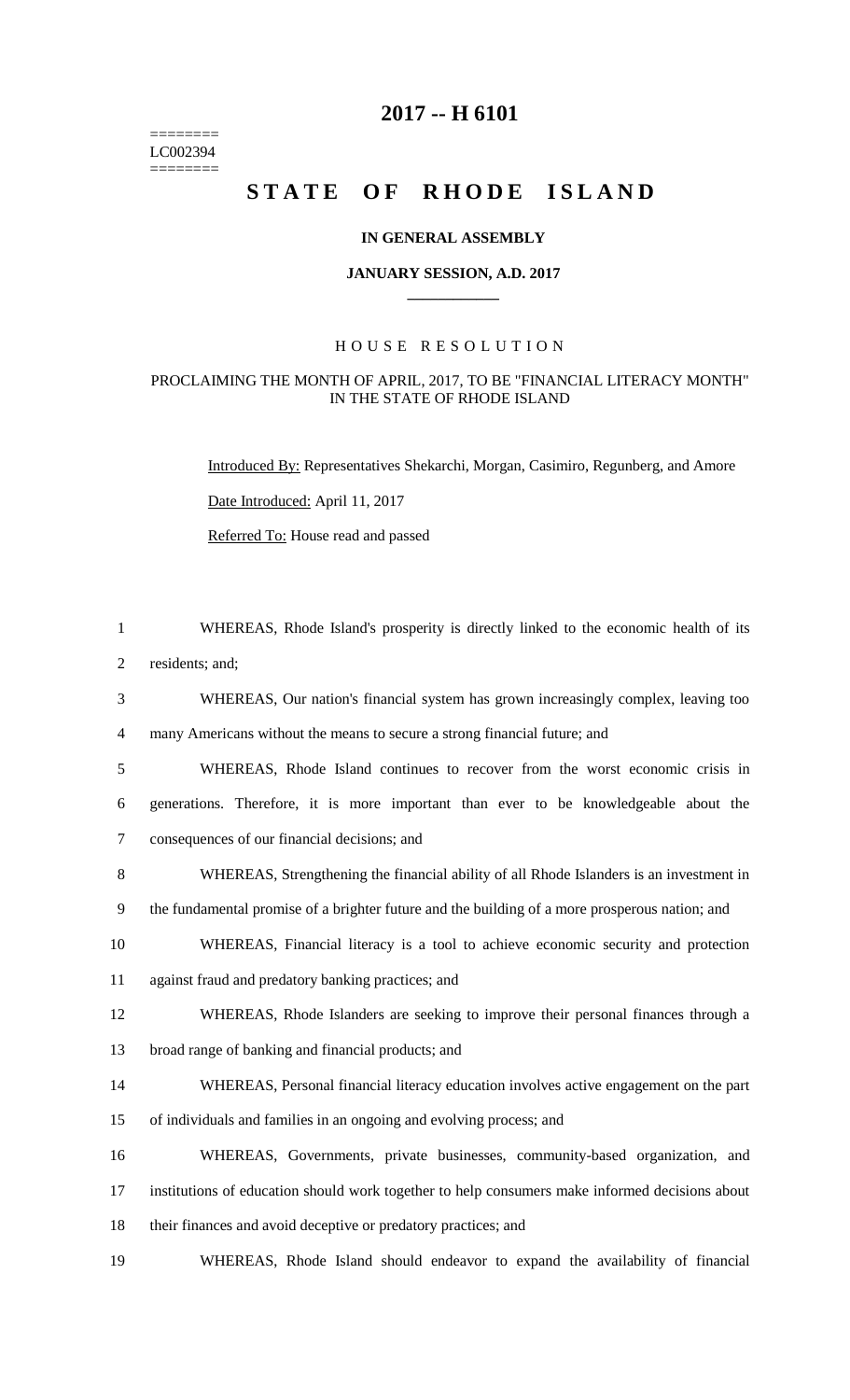======== LC002394  $=$ 

## **-- H 6101**

# STATE OF RHODE ISLAND

#### **IN GENERAL ASSEMBLY**

#### **JANUARY SESSION, A.D. 2017 \_\_\_\_\_\_\_\_\_\_\_\_**

### H O U S E R E S O L U T I O N

#### PROCLAIMING THE MONTH OF APRIL, 2017, TO BE "FINANCIAL LITERACY MONTH" IN THE STATE OF RHODE ISLAND

Introduced By: Representatives Shekarchi, Morgan, Casimiro, Regunberg, and Amore

Date Introduced: April 11, 2017

Referred To: House read and passed

| $\mathbf{1}$   | WHEREAS, Rhode Island's prosperity is directly linked to the economic health of its            |
|----------------|------------------------------------------------------------------------------------------------|
| $\overline{2}$ | residents; and;                                                                                |
| 3              | WHEREAS, Our nation's financial system has grown increasingly complex, leaving too             |
| 4              | many Americans without the means to secure a strong financial future; and                      |
| 5              | WHEREAS, Rhode Island continues to recover from the worst economic crisis in                   |
| 6              | generations. Therefore, it is more important than ever to be knowledgeable about the           |
| $\tau$         | consequences of our financial decisions; and                                                   |
| 8              | WHEREAS, Strengthening the financial ability of all Rhode Islanders is an investment in        |
| 9              | the fundamental promise of a brighter future and the building of a more prosperous nation; and |
| 10             | WHEREAS, Financial literacy is a tool to achieve economic security and protection              |
| 11             | against fraud and predatory banking practices; and                                             |
| 12             | WHEREAS, Rhode Islanders are seeking to improve their personal finances through a              |
| 13             | broad range of banking and financial products; and                                             |
| 14             | WHEREAS, Personal financial literacy education involves active engagement on the part          |
| 15             | of individuals and families in an ongoing and evolving process; and                            |
| 16             | WHEREAS, Governments, private businesses, community-based organization, and                    |
| 17             | institutions of education should work together to help consumers make informed decisions about |
| 18             | their finances and avoid deceptive or predatory practices; and                                 |
| 19             | WHEREAS, Rhode Island should endeavor to expand the availability of financial                  |
|                |                                                                                                |